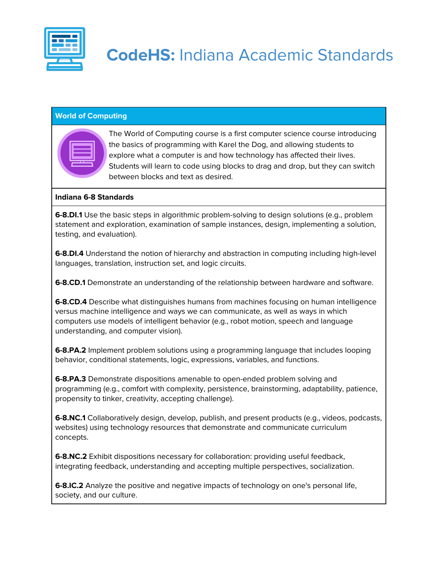

## **World of Computing**

| ________<br>______<br>______ |  |
|------------------------------|--|
| ___<br>_____                 |  |
|                              |  |

The World of Computing course is a first computer science course introducing the basics of programming with Karel the Dog, and allowing students to explore what a computer is and how technology has affected their lives. Students will learn to code using blocks to drag and drop, but they can switch between blocks and text as desired.

## **Indiana 6-8 Standards**

**6-8.DI.1** Use the basic steps in algorithmic problem-solving to design solutions (e.g., problem statement and exploration, examination of sample instances, design, implementing a solution, testing, and evaluation).

**6-8.DI.4** Understand the notion of hierarchy and abstraction in computing including high-level languages, translation, instruction set, and logic circuits.

**6-8.CD.1** Demonstrate an understanding of the relationship between hardware and software.

**6-8.CD.4** Describe what distinguishes humans from machines focusing on human intelligence versus machine intelligence and ways we can communicate, as well as ways in which computers use models of intelligent behavior (e.g., robot motion, speech and language understanding, and computer vision).

**6-8.PA.2** Implement problem solutions using a programming language that includes looping behavior, conditional statements, logic, expressions, variables, and functions.

**6-8.PA.3** Demonstrate dispositions amenable to open-ended problem solving and programming (e.g., comfort with complexity, persistence, brainstorming, adaptability, patience, propensity to tinker, creativity, accepting challenge).

**6-8.NC.1** Collaboratively design, develop, publish, and present products (e.g., videos, podcasts, websites) using technology resources that demonstrate and communicate curriculum concepts.

**6-8.NC.2** Exhibit dispositions necessary for collaboration: providing useful feedback, integrating feedback, understanding and accepting multiple perspectives, socialization.

**6-8.IC.2** Analyze the positive and negative impacts of technology on one's personal life, society, and our culture.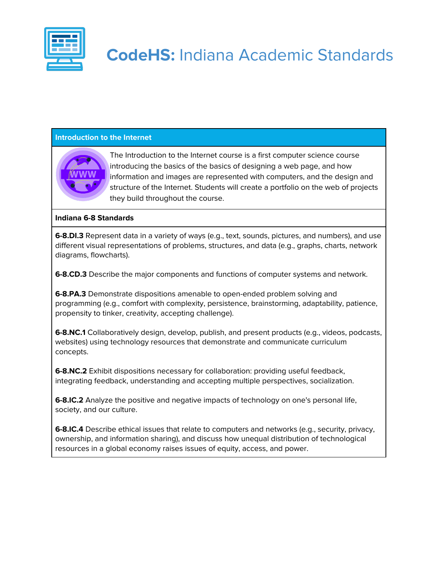

## **CodeHS:** Indiana Academic Standards

## **Introduction to the Internet**



The Introduction to the Internet course is a first computer science course introducing the basics of the basics of designing a web page, and how information and images are represented with computers, and the design and structure of the Internet. Students will create a portfolio on the web of projects they build throughout the course.

#### **Indiana 6-8 Standards**

**6-8.DI.3** Represent data in a variety of ways (e.g., text, sounds, pictures, and numbers), and use different visual representations of problems, structures, and data (e.g., graphs, charts, network diagrams, flowcharts).

**6-8.CD.3** Describe the major components and functions of computer systems and network.

**6-8.PA.3** Demonstrate dispositions amenable to open-ended problem solving and programming (e.g., comfort with complexity, persistence, brainstorming, adaptability, patience, propensity to tinker, creativity, accepting challenge).

**6-8.NC.1** Collaboratively design, develop, publish, and present products (e.g., videos, podcasts, websites) using technology resources that demonstrate and communicate curriculum concepts.

**6-8.NC.2** Exhibit dispositions necessary for collaboration: providing useful feedback, integrating feedback, understanding and accepting multiple perspectives, socialization.

**6-8.IC.2** Analyze the positive and negative impacts of technology on one's personal life, society, and our culture.

**6-8.IC.4** Describe ethical issues that relate to computers and networks (e.g., security, privacy, ownership, and information sharing), and discuss how unequal distribution of technological resources in a global economy raises issues of equity, access, and power.